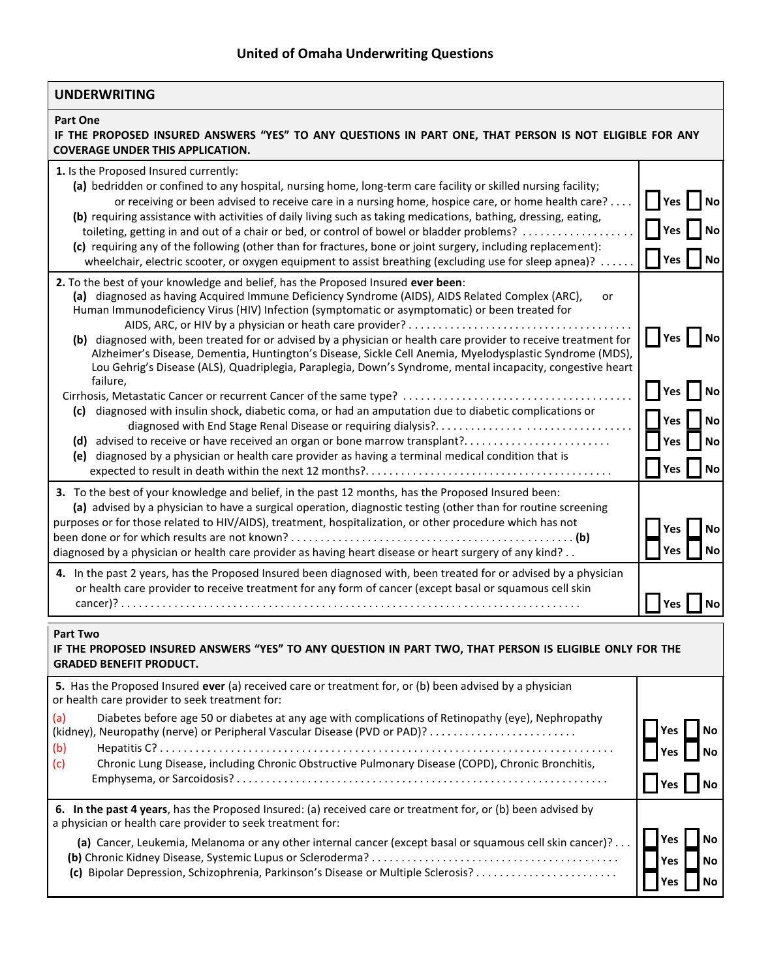| <b>UNDERWRITING</b>                                                                                                                                                                                                                                                                                                                                                                                                                                                                                                                                                                                                                                                                                                                                                                                                                  |                                                     |  |
|--------------------------------------------------------------------------------------------------------------------------------------------------------------------------------------------------------------------------------------------------------------------------------------------------------------------------------------------------------------------------------------------------------------------------------------------------------------------------------------------------------------------------------------------------------------------------------------------------------------------------------------------------------------------------------------------------------------------------------------------------------------------------------------------------------------------------------------|-----------------------------------------------------|--|
| <b>Part One</b><br>IF THE PROPOSED INSURED ANSWERS "YES" TO ANY QUESTIONS IN PART ONE, THAT PERSON IS NOT ELIGIBLE FOR ANY<br><b>COVERAGE UNDER THIS APPLICATION.</b>                                                                                                                                                                                                                                                                                                                                                                                                                                                                                                                                                                                                                                                                |                                                     |  |
| 1. Is the Proposed Insured currently:<br>(a) bedridden or confined to any hospital, nursing home, long-term care facility or skilled nursing facility;<br>or receiving or been advised to receive care in a nursing home, hospice care, or home health care?<br>(b) requiring assistance with activities of daily living such as taking medications, bathing, dressing, eating,<br>toileting, getting in and out of a chair or bed, or control of bowel or bladder problems?<br>(c) requiring any of the following (other than for fractures, bone or joint surgery, including replacement):<br>wheelchair, electric scooter, or oxygen equipment to assist breathing (excluding use for sleep apnea)?                                                                                                                               | │ ┃Yes<br><b>No</b><br>Yes                          |  |
| 2. To the best of your knowledge and belief, has the Proposed Insured ever been:<br>(a) diagnosed as having Acquired Immune Deficiency Syndrome (AIDS), AIDS Related Complex (ARC),<br>or<br>Human Immunodeficiency Virus (HIV) Infection (symptomatic or asymptomatic) or been treated for<br>(b) diagnosed with, been treated for or advised by a physician or health care provider to receive treatment for<br>Alzheimer's Disease, Dementia, Huntington's Disease, Sickle Cell Anemia, Myelodysplastic Syndrome (MDS),<br>Lou Gehrig's Disease (ALS), Quadriplegia, Paraplegia, Down's Syndrome, mental incapacity, congestive heart<br>failure,<br>Cirrhosis, Metastatic Cancer or recurrent Cancer of the same type?<br>(c) diagnosed with insulin shock, diabetic coma, or had an amputation due to diabetic complications or | $\blacksquare$ Yes<br><b>No</b><br>Yes<br><b>No</b> |  |
| (d) advised to receive or have received an organ or bone marrow transplant?<br>(e) diagnosed by a physician or health care provider as having a terminal medical condition that is                                                                                                                                                                                                                                                                                                                                                                                                                                                                                                                                                                                                                                                   | Yes<br>No<br>Yes<br>No<br>Yes<br><b>No</b>          |  |
| 3. To the best of your knowledge and belief, in the past 12 months, has the Proposed Insured been:<br>(a) advised by a physician to have a surgical operation, diagnostic testing (other than for routine screening<br>purposes or for those related to HIV/AIDS), treatment, hospitalization, or other procedure which has not<br>diagnosed by a physician or health care provider as having heart disease or heart surgery of any kind?                                                                                                                                                                                                                                                                                                                                                                                            | No<br>Yes<br>Yes<br>No                              |  |
| 4. In the past 2 years, has the Proposed Insured been diagnosed with, been treated for or advised by a physician<br>or health care provider to receive treatment for any form of cancer (except basal or squamous cell skin                                                                                                                                                                                                                                                                                                                                                                                                                                                                                                                                                                                                          | Yes<br>No                                           |  |
| <b>Part Two</b><br>IF THE PROPOSED INSURED ANSWERS "YES" TO ANY QUESTION IN PART TWO, THAT PERSON IS ELIGIBLE ONLY FOR THE                                                                                                                                                                                                                                                                                                                                                                                                                                                                                                                                                                                                                                                                                                           |                                                     |  |

|  | <b>GRADED BENEFIT PRODUCT.</b> |
|--|--------------------------------|

| 5. Has the Proposed Insured ever (a) received care or treatment for, or (b) been advised by a physician<br>or health care provider to seek treatment for:                                                                    |                                                    |
|------------------------------------------------------------------------------------------------------------------------------------------------------------------------------------------------------------------------------|----------------------------------------------------|
| Diabetes before age 50 or diabetes at any age with complications of Retinopathy (eye), Nephropathy<br>(a)<br>(b)<br>Chronic Lung Disease, including Chronic Obstructive Pulmonary Disease (COPD), Chronic Bronchitis,<br>(c) | $\mathbf{I}^{\text{Yes}}$ $\mathbf{I}^{\text{No}}$ |
| 6. In the past 4 years, has the Proposed Insured: (a) received care or treatment for, or (b) been advised by<br>a physician or health care provider to seek treatment for:                                                   |                                                    |
| (a) Cancer, Leukemia, Melanoma or any other internal cancer (except basal or squamous cell skin cancer)?                                                                                                                     | Yes<br>Yes I No                                    |